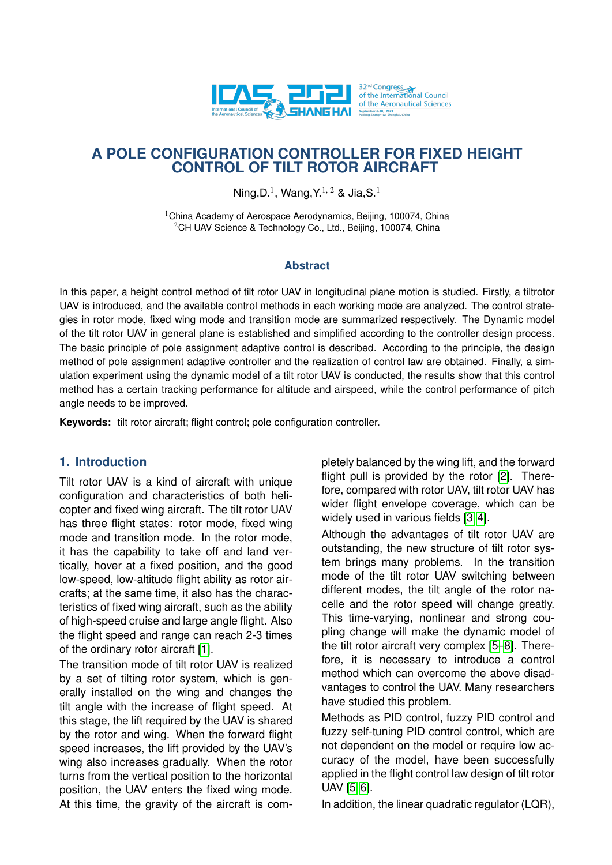

# **A POLE CONFIGURATION CONTROLLER FOR FIXED HEIGHT CONTROL OF TILT ROTOR AIRCRAFT**

Ning, D.<sup>1</sup>, Wang, Y.<sup>1, 2</sup> & Jia, S.<sup>1</sup>

<sup>1</sup>China Academy of Aerospace Aerodynamics, Beijing, 100074, China <sup>2</sup>CH UAV Science & Technology Co., Ltd., Beijing, 100074, China

#### **Abstract**

In this paper, a height control method of tilt rotor UAV in longitudinal plane motion is studied. Firstly, a tiltrotor UAV is introduced, and the available control methods in each working mode are analyzed. The control strategies in rotor mode, fixed wing mode and transition mode are summarized respectively. The Dynamic model of the tilt rotor UAV in general plane is established and simplified according to the controller design process. The basic principle of pole assignment adaptive control is described. According to the principle, the design method of pole assignment adaptive controller and the realization of control law are obtained. Finally, a simulation experiment using the dynamic model of a tilt rotor UAV is conducted, the results show that this control method has a certain tracking performance for altitude and airspeed, while the control performance of pitch angle needs to be improved.

**Keywords:** tilt rotor aircraft; flight control; pole configuration controller.

### **1. Introduction**

Tilt rotor UAV is a kind of aircraft with unique configuration and characteristics of both helicopter and fixed wing aircraft. The tilt rotor UAV has three flight states: rotor mode, fixed wing mode and transition mode. In the rotor mode, it has the capability to take off and land vertically, hover at a fixed position, and the good low-speed, low-altitude flight ability as rotor aircrafts; at the same time, it also has the characteristics of fixed wing aircraft, such as the ability of high-speed cruise and large angle flight. Also the flight speed and range can reach 2-3 times of the ordinary rotor aircraft [\[1\]](#page-5-0).

The transition mode of tilt rotor UAV is realized by a set of tilting rotor system, which is generally installed on the wing and changes the tilt angle with the increase of flight speed. At this stage, the lift required by the UAV is shared by the rotor and wing. When the forward flight speed increases, the lift provided by the UAV's wing also increases gradually. When the rotor turns from the vertical position to the horizontal position, the UAV enters the fixed wing mode. At this time, the gravity of the aircraft is completely balanced by the wing lift, and the forward flight pull is provided by the rotor [\[2\]](#page-5-1). Therefore, compared with rotor UAV, tilt rotor UAV has wider flight envelope coverage, which can be widely used in various fields [\[3,](#page-5-2) [4\]](#page-5-3).

Although the advantages of tilt rotor UAV are outstanding, the new structure of tilt rotor system brings many problems. In the transition mode of the tilt rotor UAV switching between different modes, the tilt angle of the rotor nacelle and the rotor speed will change greatly. This time-varying, nonlinear and strong coupling change will make the dynamic model of the tilt rotor aircraft very complex [\[5–](#page-5-4)[8\]](#page-5-5). Therefore, it is necessary to introduce a control method which can overcome the above disadvantages to control the UAV. Many researchers have studied this problem.

Methods as PID control, fuzzy PID control and fuzzy self-tuning PID control control, which are not dependent on the model or require low accuracy of the model, have been successfully applied in the flight control law design of tilt rotor UAV [\[5,](#page-5-4) [6\]](#page-5-6).

In addition, the linear quadratic regulator (LQR),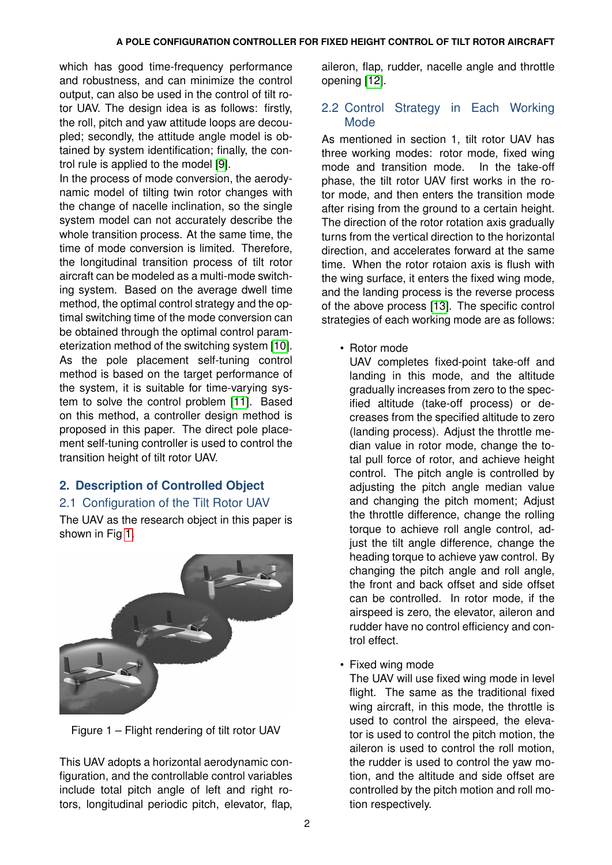which has good time-frequency performance and robustness, and can minimize the control output, can also be used in the control of tilt rotor UAV. The design idea is as follows: firstly, the roll, pitch and yaw attitude loops are decoupled; secondly, the attitude angle model is obtained by system identification; finally, the control rule is applied to the model [\[9\]](#page-6-0).

In the process of mode conversion, the aerodynamic model of tilting twin rotor changes with the change of nacelle inclination, so the single system model can not accurately describe the whole transition process. At the same time, the time of mode conversion is limited. Therefore, the longitudinal transition process of tilt rotor aircraft can be modeled as a multi-mode switching system. Based on the average dwell time method, the optimal control strategy and the optimal switching time of the mode conversion can be obtained through the optimal control parameterization method of the switching system [\[10\]](#page-6-1). As the pole placement self-tuning control method is based on the target performance of the system, it is suitable for time-varying system to solve the control problem [\[11\]](#page-6-2). Based on this method, a controller design method is proposed in this paper. The direct pole placement self-tuning controller is used to control the transition height of tilt rotor UAV.

# **2. Description of Controlled Object**

## 2.1 Configuration of the Tilt Rotor UAV

The UAV as the research object in this paper is shown in Fig [1.](#page-1-0)

<span id="page-1-0"></span>

Figure 1 – Flight rendering of tilt rotor UAV

This UAV adopts a horizontal aerodynamic configuration, and the controllable control variables include total pitch angle of left and right rotors, longitudinal periodic pitch, elevator, flap,

aileron, flap, rudder, nacelle angle and throttle opening [\[12\]](#page-6-3).

## 2.2 Control Strategy in Each Working Mode

As mentioned in section 1, tilt rotor UAV has three working modes: rotor mode, fixed wing mode and transition mode. In the take-off phase, the tilt rotor UAV first works in the rotor mode, and then enters the transition mode after rising from the ground to a certain height. The direction of the rotor rotation axis gradually turns from the vertical direction to the horizontal direction, and accelerates forward at the same time. When the rotor rotaion axis is flush with the wing surface, it enters the fixed wing mode, and the landing process is the reverse process of the above process [\[13\]](#page-6-4). The specific control strategies of each working mode are as follows:

• Rotor mode

UAV completes fixed-point take-off and landing in this mode, and the altitude gradually increases from zero to the specified altitude (take-off process) or decreases from the specified altitude to zero (landing process). Adjust the throttle median value in rotor mode, change the total pull force of rotor, and achieve height control. The pitch angle is controlled by adjusting the pitch angle median value and changing the pitch moment; Adjust the throttle difference, change the rolling torque to achieve roll angle control, adjust the tilt angle difference, change the heading torque to achieve yaw control. By changing the pitch angle and roll angle, the front and back offset and side offset can be controlled. In rotor mode, if the airspeed is zero, the elevator, aileron and rudder have no control efficiency and control effect.

• Fixed wing mode

The UAV will use fixed wing mode in level flight. The same as the traditional fixed wing aircraft, in this mode, the throttle is used to control the airspeed, the elevator is used to control the pitch motion, the aileron is used to control the roll motion, the rudder is used to control the yaw motion, and the altitude and side offset are controlled by the pitch motion and roll motion respectively.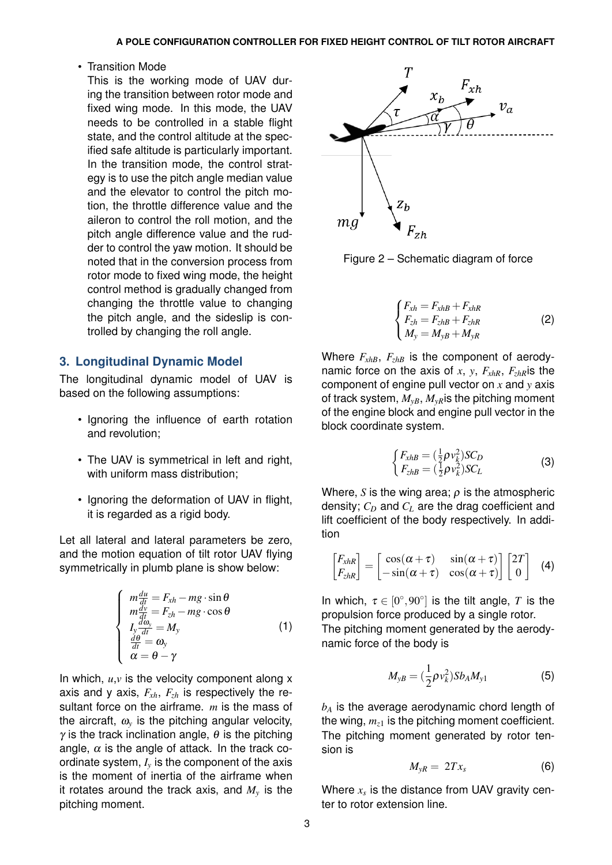#### • Transition Mode

This is the working mode of UAV during the transition between rotor mode and fixed wing mode. In this mode, the UAV needs to be controlled in a stable flight state, and the control altitude at the specified safe altitude is particularly important. In the transition mode, the control strategy is to use the pitch angle median value and the elevator to control the pitch motion, the throttle difference value and the aileron to control the roll motion, and the pitch angle difference value and the rudder to control the yaw motion. It should be noted that in the conversion process from rotor mode to fixed wing mode, the height control method is gradually changed from changing the throttle value to changing the pitch angle, and the sideslip is controlled by changing the roll angle.

#### **3. Longitudinal Dynamic Model**

The longitudinal dynamic model of UAV is based on the following assumptions:

- Ignoring the influence of earth rotation and revolution;
- The UAV is symmetrical in left and right, with uniform mass distribution;
- Ignoring the deformation of UAV in flight, it is regarded as a rigid body.

Let all lateral and lateral parameters be zero, and the motion equation of tilt rotor UAV flying symmetrically in plumb plane is show below:

$$
\begin{cases}\n m \frac{du}{dt} = F_{xh} - mg \cdot \sin \theta \\
 m \frac{dv}{dt} = F_{zh} - mg \cdot \cos \theta \\
 I_y \frac{d\omega_y}{dt} = M_y \\
 \frac{d\theta}{dt} = \omega_y \\
 \alpha = \theta - \gamma\n\end{cases} (1)
$$

In which,  $u, v$  is the velocity component along  $x$ axis and y axis, *Fxh*, *Fzh* is respectively the resultant force on the airframe. *m* is the mass of the aircraft,  $\omega_{\nu}$  is the pitching angular velocity,  $\gamma$  is the track inclination angle,  $\theta$  is the pitching angle,  $\alpha$  is the angle of attack. In the track coordinate system,  $I<sub>v</sub>$  is the component of the axis is the moment of inertia of the airframe when it rotates around the track axis, and *M<sup>y</sup>* is the pitching moment.



Figure 2 – Schematic diagram of force

$$
\begin{cases}\nF_{xh} = F_{xhB} + F_{xhR} \\
F_{zh} = F_{zhB} + F_{zhR} \\
M_y = M_{yB} + M_{yR}\n\end{cases}
$$
\n(2)

Where  $F_{xhB}$ ,  $F_{zhB}$  is the component of aerodynamic force on the axis of *x*, *y*,  $F_{xhR}$ ,  $F_{zhR}$  is the component of engine pull vector on *x* and *y* axis of track system,  $M_{vB}$ ,  $M_{vR}$  is the pitching moment of the engine block and engine pull vector in the block coordinate system.

$$
\begin{cases}\nF_{xhB} = \left(\frac{1}{2}\rho v_k^2\right) SC_D \\
F_{zhB} = \left(\frac{1}{2}\rho v_k^2\right) SC_L\n\end{cases}
$$
\n(3)

Where, *S* is the wing area;  $\rho$  is the atmospheric density; *C<sup>D</sup>* and *C<sup>L</sup>* are the drag coefficient and lift coefficient of the body respectively. In addition

$$
\begin{bmatrix} F_{xhR} \\ F_{zhR} \end{bmatrix} = \begin{bmatrix} \cos(\alpha + \tau) & \sin(\alpha + \tau) \\ -\sin(\alpha + \tau) & \cos(\alpha + \tau) \end{bmatrix} \begin{bmatrix} 2T \\ 0 \end{bmatrix}
$$
 (4)

In which,  $\tau \in [0^{\circ}, 90^{\circ}]$  is the tilt angle, T is the propulsion force produced by a single rotor.

The pitching moment generated by the aerodynamic force of the body is

$$
M_{yB} = (\frac{1}{2}\rho v_k^2) S b_A M_{y1}
$$
 (5)

*b<sup>A</sup>* is the average aerodynamic chord length of the wing,  $m_{z1}$  is the pitching moment coefficient. The pitching moment generated by rotor tension is

$$
M_{yR} = 2Tx_s \tag{6}
$$

Where *x<sup>s</sup>* is the distance from UAV gravity center to rotor extension line.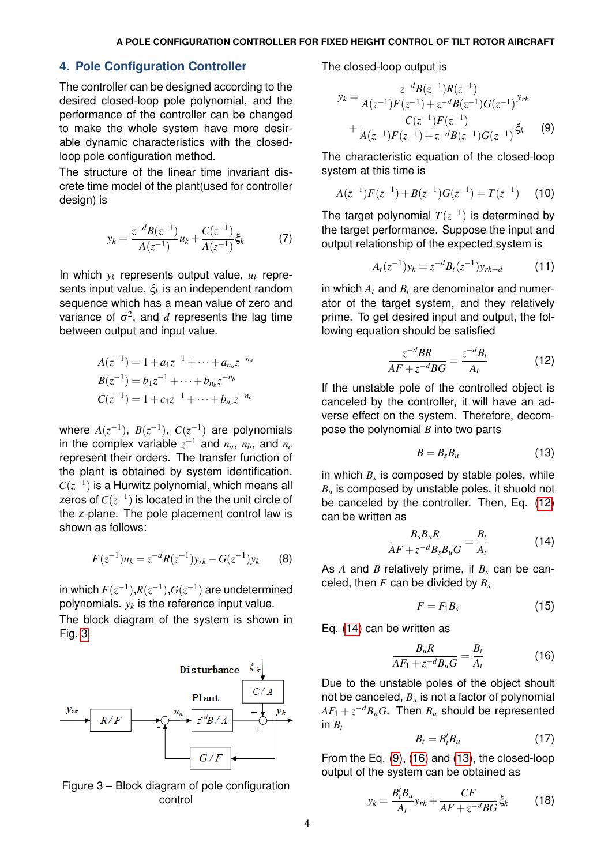#### **4. Pole Configuration Controller**

The controller can be designed according to the desired closed-loop pole polynomial, and the performance of the controller can be changed to make the whole system have more desirable dynamic characteristics with the closedloop pole configuration method.

The structure of the linear time invariant discrete time model of the plant(used for controller design) is

$$
y_k = \frac{z^{-d}B(z^{-1})}{A(z^{-1})}u_k + \frac{C(z^{-1})}{A(z^{-1})}\xi_k
$$
 (7)

In which  $y_k$  represents output value,  $u_k$  represents input value, ξ*<sup>k</sup>* is an independent random sequence which has a mean value of zero and variance of  $\sigma^2$ , and  $d$  represents the lag time between output and input value.

$$
A(z^{-1}) = 1 + a_1 z^{-1} + \dots + a_{n_a} z^{-n_a}
$$
  
\n
$$
B(z^{-1}) = b_1 z^{-1} + \dots + b_{n_b} z^{-n_b}
$$
  
\n
$$
C(z^{-1}) = 1 + c_1 z^{-1} + \dots + b_{n_c} z^{-n_c}
$$

where  $A(z^{-1}), B(z^{-1}), C(z^{-1})$  are polynomials in the complex variable  $z^{-1}$  and  $n_a$ ,  $n_b$ , and  $n_c$ represent their orders. The transfer function of the plant is obtained by system identification.  $C(z^{-1})$  is a Hurwitz polynomial, which means all zeros of  $C(z^{-1})$  is located in the the unit circle of the z-plane. The pole placement control law is shown as follows:

<span id="page-3-6"></span>
$$
F(z^{-1})u_k = z^{-d}R(z^{-1})y_{rk} - G(z^{-1})y_k \qquad (8)
$$

in which  $F(z^{-1}), R(z^{-1}), G(z^{-1})$  are undetermined polynomials. *y<sup>k</sup>* is the reference input value.

The block diagram of the system is shown in Fig. [3.](#page-3-0)

<span id="page-3-0"></span>

Figure 3 – Block diagram of pole configuration control

The closed-loop output is

<span id="page-3-3"></span>
$$
y_k = \frac{z^{-d}B(z^{-1})R(z^{-1})}{A(z^{-1})F(z^{-1}) + z^{-d}B(z^{-1})G(z^{-1})}y_{rk}
$$
  
+ 
$$
\frac{C(z^{-1})F(z^{-1})}{A(z^{-1})F(z^{-1}) + z^{-d}B(z^{-1})G(z^{-1})}\xi_k
$$
(9)

The characteristic equation of the closed-loop system at this time is

$$
A(z^{-1})F(z^{-1}) + B(z^{-1})G(z^{-1}) = T(z^{-1}) \qquad (10)
$$

The target polynomial  $T(z^{-1})$  is determined by the target performance. Suppose the input and output relationship of the expected system is

$$
A_t(z^{-1})y_k = z^{-d}B_t(z^{-1})y_{rk+d} \tag{11}
$$

in which *A<sup>t</sup>* and *B<sup>t</sup>* are denominator and numerator of the target system, and they relatively prime. To get desired input and output, the following equation should be satisfied

<span id="page-3-1"></span>
$$
\frac{z^{-d}BR}{AF + z^{-d}BG} = \frac{z^{-d}B_t}{A_t}
$$
(12)

If the unstable pole of the controlled object is canceled by the controller, it will have an adverse effect on the system. Therefore, decompose the polynomial *B* into two parts

<span id="page-3-5"></span>
$$
B=B_{s}B_{u}\tag{13}
$$

in which  $B_s$  is composed by stable poles, while *B<sup>u</sup>* is composed by unstable poles, it shuold not be canceled by the controller. Then, Eq. [\(12\)](#page-3-1) can be written as

<span id="page-3-2"></span>
$$
\frac{B_s B_u R}{AF + z^{-d} B_s B_u G} = \frac{B_t}{A_t}
$$
 (14)

As *A* and *B* relatively prime, if *B<sup>s</sup>* can be canceled, then *F* can be divided by *B<sup>s</sup>*

<span id="page-3-4"></span>
$$
F = F_1 B_s \tag{15}
$$

Eq. [\(14\)](#page-3-2) can be written as

$$
\frac{B_u R}{AF_1 + z^{-d} B_u G} = \frac{B_t}{A_t}
$$
 (16)

Due to the unstable poles of the object shoult not be canceled, *B<sup>u</sup>* is not a factor of polynomial  $AF_1 + z^{-d}B_uG$ . Then  $B_u$  should be represented in  $B_t$ 

$$
B_t = B_t' B_u \tag{17}
$$

From the Eq. [\(9\)](#page-3-3), [\(16\)](#page-3-4) and [\(13\)](#page-3-5), the closed-loop output of the system can be obtained as

$$
y_k = \frac{B_t'B_u}{A_t}y_{rk} + \frac{CF}{AF + z^{-d}BG}\xi_k
$$
 (18)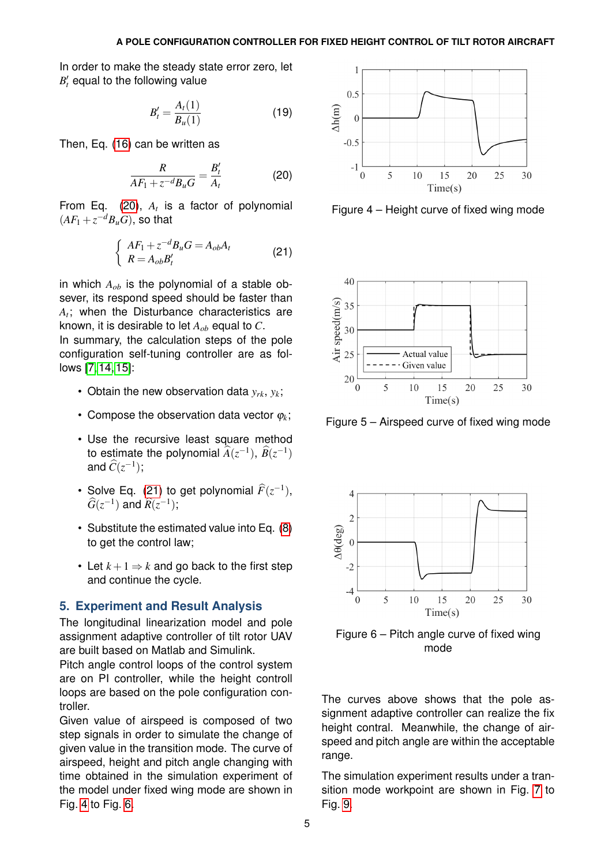In order to make the steady state error zero, let  $B_{t}'$  equal to the following value

<span id="page-4-0"></span>
$$
B'_{t} = \frac{A_{t}(1)}{B_{u}(1)}
$$
 (19)

Then, Eq. [\(16\)](#page-3-4) can be written as

<span id="page-4-1"></span>
$$
\frac{R}{AF_1 + z^{-d}B_uG} = \frac{B'_t}{A_t}
$$
 (20)

From Eq. [\(20\)](#page-4-0), *A<sup>t</sup>* is a factor of polynomial  $(AF_1 + z^{-d}B_uG)$ , so that

$$
\begin{cases}\nAF_1 + z^{-d}B_uG = A_{ob}A_t \\
R = A_{ob}B'_t\n\end{cases}
$$
\n(21)

in which *Aob* is the polynomial of a stable obsever, its respond speed should be faster than *At* ; when the Disturbance characteristics are known, it is desirable to let  $A_{ob}$  equal to  $C$ .

In summary, the calculation steps of the pole configuration self-tuning controller are as follows [\[7,](#page-5-7) [14,](#page-6-5) [15\]](#page-6-6):

- Obtain the new observation data  $y_{rk}$ ,  $y_k$ ;
- Compose the observation data vector  $\varphi_k$ ;
- Use the recursive least square method to estimate the polynomial  $\widehat{A}(z^{-1}), \widehat{B}(z^{-1})$ and  $\widehat{C}(z^{-1});$
- Solve Eq. [\(21\)](#page-4-1) to get polynomial  $\widehat{F}(z^{-1})$ ,  $\widehat{G}(z^{-1})$  and  $\widehat{R}(z^{-1});$
- Substitute the estimated value into Eq. [\(8\)](#page-3-6) to get the control law;
- Let  $k+1 \Rightarrow k$  and go back to the first step and continue the cycle.

#### **5. Experiment and Result Analysis**

The longitudinal linearization model and pole assignment adaptive controller of tilt rotor UAV are built based on Matlab and Simulink.

Pitch angle control loops of the control system are on PI controller, while the height controll loops are based on the pole configuration controller.

Given value of airspeed is composed of two step signals in order to simulate the change of given value in the transition mode. The curve of airspeed, height and pitch angle changing with time obtained in the simulation experiment of the model under fixed wing mode are shown in Fig. [4](#page-4-2) to Fig. [6.](#page-4-3)

<span id="page-4-2"></span>

Figure 4 – Height curve of fixed wing mode



Figure 5 – Airspeed curve of fixed wing mode

<span id="page-4-3"></span>

Figure 6 – Pitch angle curve of fixed wing mode

The curves above shows that the pole assignment adaptive controller can realize the fix height contral. Meanwhile, the change of airspeed and pitch angle are within the acceptable range.

The simulation experiment results under a transition mode workpoint are shown in Fig. [7](#page-5-8) to Fig. [9.](#page-5-9)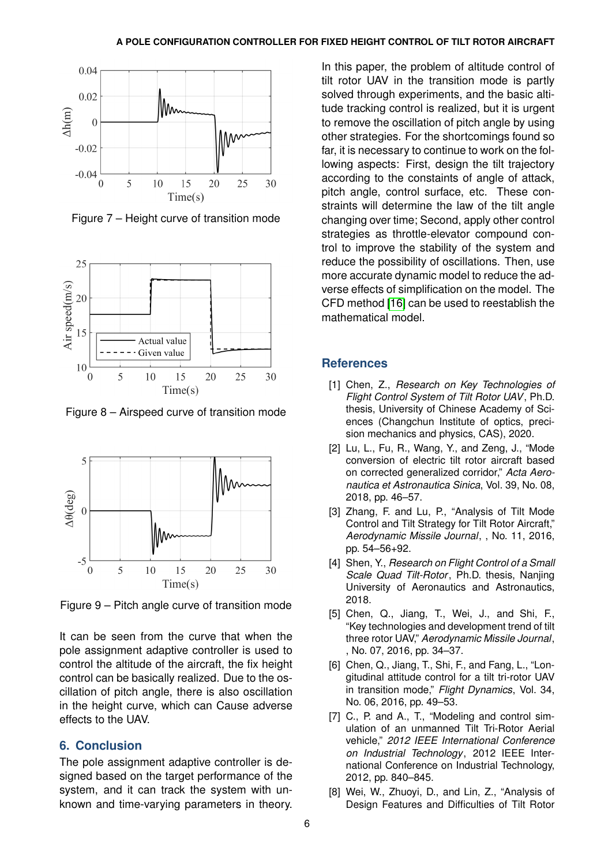<span id="page-5-8"></span>

Figure 7 – Height curve of transition mode



Figure 8 – Airspeed curve of transition mode

<span id="page-5-9"></span>

Figure 9 – Pitch angle curve of transition mode

It can be seen from the curve that when the pole assignment adaptive controller is used to control the altitude of the aircraft, the fix height control can be basically realized. Due to the oscillation of pitch angle, there is also oscillation in the height curve, which can Cause adverse effects to the UAV.

## **6. Conclusion**

The pole assignment adaptive controller is designed based on the target performance of the system, and it can track the system with unknown and time-varying parameters in theory.

In this paper, the problem of altitude control of tilt rotor UAV in the transition mode is partly solved through experiments, and the basic altitude tracking control is realized, but it is urgent to remove the oscillation of pitch angle by using other strategies. For the shortcomings found so far, it is necessary to continue to work on the following aspects: First, design the tilt trajectory according to the constaints of angle of attack, pitch angle, control surface, etc. These constraints will determine the law of the tilt angle changing over time; Second, apply other control strategies as throttle-elevator compound control to improve the stability of the system and reduce the possibility of oscillations. Then, use more accurate dynamic model to reduce the adverse effects of simplification on the model. The CFD method [\[16\]](#page-6-7) can be used to reestablish the mathematical model.

### **References**

- <span id="page-5-0"></span>[1] Chen, Z., *Research on Key Technologies of Flight Control System of Tilt Rotor UAV*, Ph.D. thesis, University of Chinese Academy of Sciences (Changchun Institute of optics, precision mechanics and physics, CAS), 2020.
- <span id="page-5-1"></span>[2] Lu, L., Fu, R., Wang, Y., and Zeng, J., "Mode conversion of electric tilt rotor aircraft based on corrected generalized corridor," *Acta Aeronautica et Astronautica Sinica*, Vol. 39, No. 08, 2018, pp. 46–57.
- <span id="page-5-2"></span>[3] Zhang, F. and Lu, P., "Analysis of Tilt Mode Control and Tilt Strategy for Tilt Rotor Aircraft," *Aerodynamic Missile Journal*, , No. 11, 2016, pp. 54–56+92.
- <span id="page-5-3"></span>[4] Shen, Y., *Research on Flight Control of a Small Scale Quad Tilt-Rotor*, Ph.D. thesis, Nanjing University of Aeronautics and Astronautics, 2018.
- <span id="page-5-4"></span>[5] Chen, Q., Jiang, T., Wei, J., and Shi, F., "Key technologies and development trend of tilt three rotor UAV," *Aerodynamic Missile Journal*, , No. 07, 2016, pp. 34–37.
- <span id="page-5-6"></span>[6] Chen, Q., Jiang, T., Shi, F., and Fang, L., "Longitudinal attitude control for a tilt tri-rotor UAV in transition mode," *Flight Dynamics*, Vol. 34, No. 06, 2016, pp. 49–53.
- <span id="page-5-7"></span>[7] C., P. and A., T., "Modeling and control simulation of an unmanned Tilt Tri-Rotor Aerial vehicle," *2012 IEEE International Conference on Industrial Technology*, 2012 IEEE International Conference on Industrial Technology, 2012, pp. 840–845.
- <span id="page-5-5"></span>[8] Wei, W., Zhuoyi, D., and Lin, Z., "Analysis of Design Features and Difficulties of Tilt Rotor